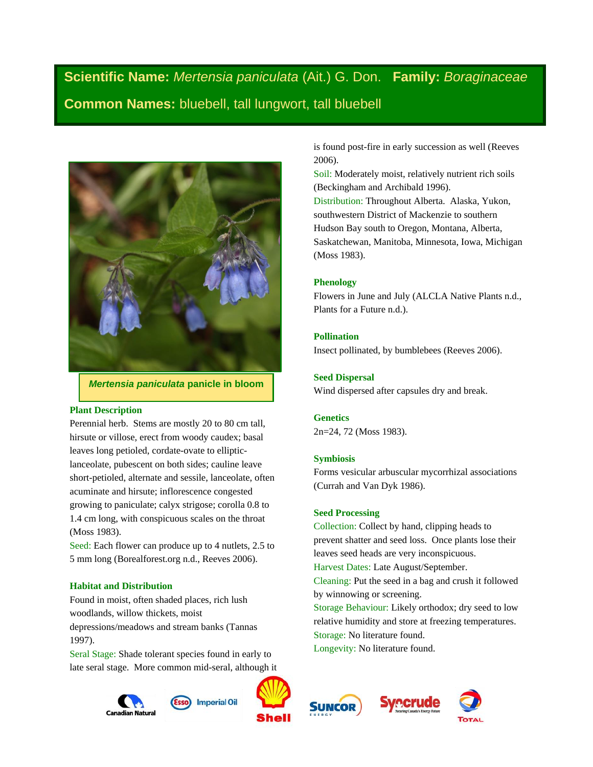# **Scientific Name:** *Mertensia paniculata* (Ait.) G. Don. **Family:** *Boraginaceae* **Common Names:** bluebell, tall lungwort, tall bluebell



## *Mertensia paniculata* **panicle in bloom**

## **Plant Description**

Perennial herb. Stems are mostly 20 to 80 cm tall, hirsute or villose, erect from woody caudex; basal leaves long petioled, cordate-ovate to ellipticlanceolate, pubescent on both sides; cauline leave short-petioled, alternate and sessile, lanceolate, often acuminate and hirsute; inflorescence congested growing to paniculate; calyx strigose; corolla 0.8 to 1.4 cm long, with conspicuous scales on the throat (Moss 1983).

Seed: Each flower can produce up to 4 nutlets, 2.5 to 5 mm long (Borealforest.org n.d., Reeves 2006).

## **Habitat and Distribution**

Found in moist, often shaded places, rich lush woodlands, willow thickets, moist

depressions/meadows and stream banks (Tannas 1997).

Seral Stage: Shade tolerant species found in early to late seral stage. More common mid-seral, although it







is found post-fire in early succession as well (Reeves 2006).

Soil: Moderately moist, relatively nutrient rich soils (Beckingham and Archibald 1996).

Distribution: Throughout Alberta. Alaska, Yukon, southwestern District of Mackenzie to southern Hudson Bay south to Oregon, Montana, Alberta, Saskatchewan, Manitoba, Minnesota, Iowa, Michigan (Moss 1983).

#### **Phenology**

Flowers in June and July (ALCLA Native Plants n.d., Plants for a Future n.d.).

## **Pollination**

Insect pollinated, by bumblebees (Reeves 2006).

## **Seed Dispersal**

Wind dispersed after capsules dry and break.

## **Genetics**

2n=24, 72 (Moss 1983).

#### **Symbiosis**

Forms vesicular arbuscular mycorrhizal associations (Currah and Van Dyk 1986).

### **Seed Processing**

Collection: Collect by hand, clipping heads to prevent shatter and seed loss. Once plants lose their leaves seed heads are very inconspicuous.

Harvest Dates: Late August/September.

Cleaning: Put the seed in a bag and crush it followed by winnowing or screening.

Storage Behaviour: Likely orthodox; dry seed to low relative humidity and store at freezing temperatures. Storage: No literature found.

Longevity: No literature found.



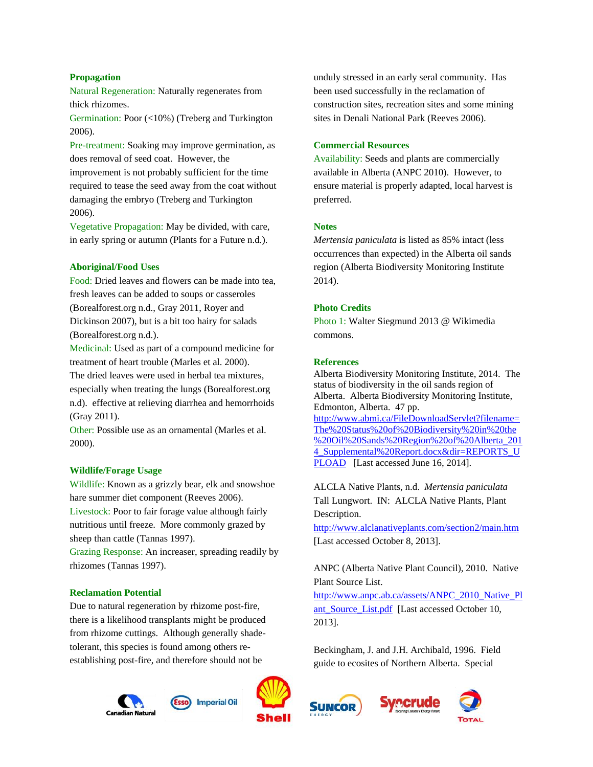## **Propagation**

Natural Regeneration: Naturally regenerates from thick rhizomes.

Germination: Poor (<10%) (Treberg and Turkington 2006).

Pre-treatment: Soaking may improve germination, as does removal of seed coat. However, the improvement is not probably sufficient for the time required to tease the seed away from the coat without damaging the embryo (Treberg and Turkington 2006).

Vegetative Propagation: May be divided, with care, in early spring or autumn (Plants for a Future n.d.).

#### **Aboriginal/Food Uses**

Food: Dried leaves and flowers can be made into tea, fresh leaves can be added to soups or casseroles (Borealforest.org n.d., Gray 2011, Royer and Dickinson 2007), but is a bit too hairy for salads (Borealforest.org n.d.).

Medicinal: Used as part of a compound medicine for treatment of heart trouble (Marles et al. 2000).

The dried leaves were used in herbal tea mixtures, especially when treating the lungs (Borealforest.org n.d). effective at relieving diarrhea and hemorrhoids (Gray 2011).

Other: Possible use as an ornamental (Marles et al. 2000).

#### **Wildlife/Forage Usage**

Wildlife: Known as a grizzly bear, elk and snowshoe hare summer diet component (Reeves 2006). Livestock: Poor to fair forage value although fairly nutritious until freeze. More commonly grazed by sheep than cattle (Tannas 1997).

Grazing Response: An increaser, spreading readily by rhizomes (Tannas 1997).

#### **Reclamation Potential**

Due to natural regeneration by rhizome post-fire, there is a likelihood transplants might be produced from rhizome cuttings. Although generally shadetolerant, this species is found among others reestablishing post-fire, and therefore should not be





unduly stressed in an early seral community. Has been used successfully in the reclamation of construction sites, recreation sites and some mining sites in Denali National Park (Reeves 2006).

## **Commercial Resources**

Availability: Seeds and plants are commercially available in Alberta (ANPC 2010). However, to ensure material is properly adapted, local harvest is preferred.

## **Notes**

*Mertensia paniculata* is listed as 85% intact (less occurrences than expected) in the Alberta oil sands region (Alberta Biodiversity Monitoring Institute 2014).

## **Photo Credits**

Photo 1: Walter Siegmund 2013 @ Wikimedia commons.

#### **References**

Alberta Biodiversity Monitoring Institute, 2014. The status of biodiversity in the oil sands region of Alberta. Alberta Biodiversity Monitoring Institute, Edmonton, Alberta. 47 pp. [http://www.abmi.ca/FileDownloadServlet?filename=](http://www.abmi.ca/FileDownloadServlet?filename=The%20Status%20of%20Biodiversity%20in%20the%20Oil%20Sands%20Region%20of%20Alberta_2014_Supplemental%20Report.docx&dir=REPORTS_UPLOAD) [The%20Status%20of%20Biodiversity%20in%20the](http://www.abmi.ca/FileDownloadServlet?filename=The%20Status%20of%20Biodiversity%20in%20the%20Oil%20Sands%20Region%20of%20Alberta_2014_Supplemental%20Report.docx&dir=REPORTS_UPLOAD) [%20Oil%20Sands%20Region%20of%20Alberta\\_201](http://www.abmi.ca/FileDownloadServlet?filename=The%20Status%20of%20Biodiversity%20in%20the%20Oil%20Sands%20Region%20of%20Alberta_2014_Supplemental%20Report.docx&dir=REPORTS_UPLOAD) 4 Supplemental%20Report.docx&dir=REPORTS\_U [PLOAD](http://www.abmi.ca/FileDownloadServlet?filename=The%20Status%20of%20Biodiversity%20in%20the%20Oil%20Sands%20Region%20of%20Alberta_2014_Supplemental%20Report.docx&dir=REPORTS_UPLOAD) [Last accessed June 16, 2014].

ALCLA Native Plants, n.d. *Mertensia paniculata* Tall Lungwort. IN: ALCLA Native Plants, Plant Description.

<http://www.alclanativeplants.com/section2/main.htm> [Last accessed October 8, 2013].

## ANPC (Alberta Native Plant Council), 2010. Native Plant Source List.

[http://www.anpc.ab.ca/assets/ANPC\\_2010\\_Native\\_Pl](http://www.anpc.ab.ca/assets/ANPC_2010_Native_Plant_Source_List.pdf) ant Source List.pdf [Last accessed October 10, 2013].

Beckingham, J. and J.H. Archibald, 1996. Field guide to ecosites of Northern Alberta. Special